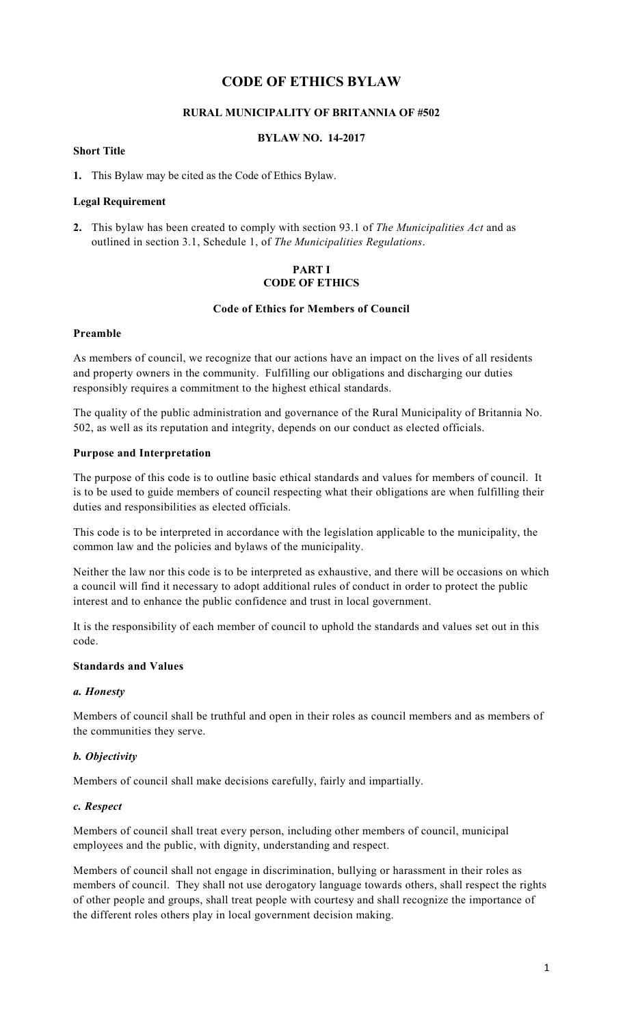# **CODE OF ETHICS BYLAW**

## **RURAL MUNICIPALITY OF BRITANNIA OF #502**

#### **BYLAW NO. 14-2017**

### **Short Title**

**1.** This Bylaw may be cited as the Code of Ethics Bylaw.

### **Legal Requirement**

**2.** This bylaw has been created to comply with section 93.1 of *The Municipalities Act* and as outlined in section 3.1, Schedule 1, of *The Municipalities Regulations*.

### **PART I CODE OF ETHICS**

#### **Code of Ethics for Members of Council**

#### **Preamble**

As members of council, we recognize that our actions have an impact on the lives of all residents and property owners in the community. Fulfilling our obligations and discharging our duties responsibly requires a commitment to the highest ethical standards.

The quality of the public administration and governance of the Rural Municipality of Britannia No. 502, as well as its reputation and integrity, depends on our conduct as elected officials.

#### **Purpose and Interpretation**

The purpose of this code is to outline basic ethical standards and values for members of council. It is to be used to guide members of council respecting what their obligations are when fulfilling their duties and responsibilities as elected officials.

This code is to be interpreted in accordance with the legislation applicable to the municipality, the common law and the policies and bylaws of the municipality.

Neither the law nor this code is to be interpreted as exhaustive, and there will be occasions on which a council will find it necessary to adopt additional rules of conduct in order to protect the public interest and to enhance the public confidence and trust in local government.

It is the responsibility of each member of council to uphold the standards and values set out in this code.

### **Standards and Values**

#### *a. Honesty*

Members of council shall be truthful and open in their roles as council members and as members of the communities they serve.

#### *b. Objectivity*

Members of council shall make decisions carefully, fairly and impartially.

#### *c. Respect*

Members of council shall treat every person, including other members of council, municipal employees and the public, with dignity, understanding and respect.

Members of council shall not engage in discrimination, bullying or harassment in their roles as members of council. They shall not use derogatory language towards others, shall respect the rights of other people and groups, shall treat people with courtesy and shall recognize the importance of the different roles others play in local government decision making.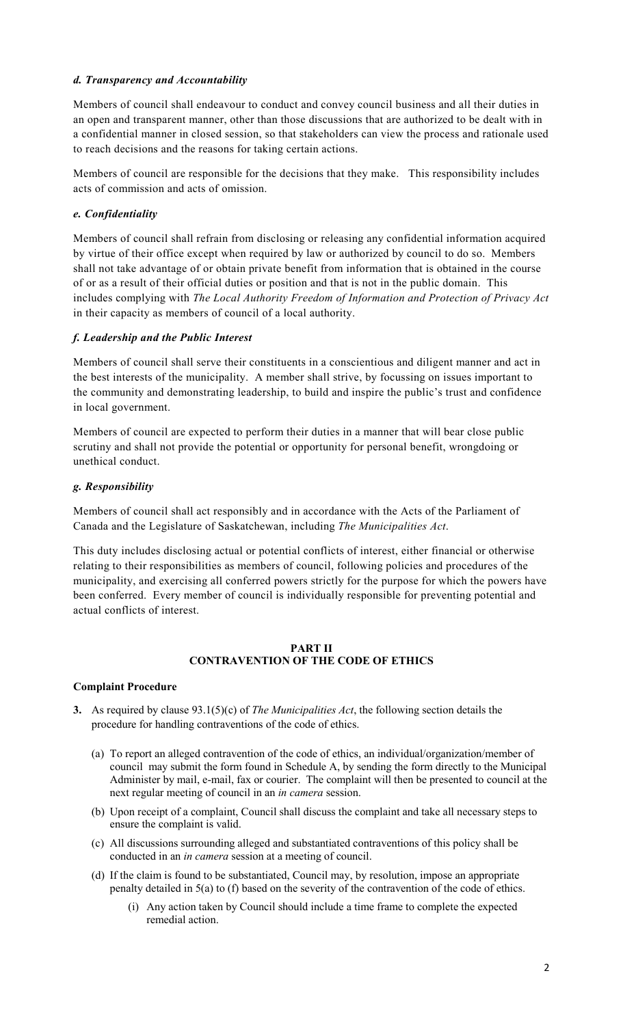### *d. Transparency and Accountability*

Members of council shall endeavour to conduct and convey council business and all their duties in an open and transparent manner, other than those discussions that are authorized to be dealt with in a confidential manner in closed session, so that stakeholders can view the process and rationale used to reach decisions and the reasons for taking certain actions.

Members of council are responsible for the decisions that they make. This responsibility includes acts of commission and acts of omission.

### *e. Confidentiality*

Members of council shall refrain from disclosing or releasing any confidential information acquired by virtue of their office except when required by law or authorized by council to do so. Members shall not take advantage of or obtain private benefit from information that is obtained in the course of or as a result of their official duties or position and that is not in the public domain. This includes complying with *The Local Authority Freedom of Information and Protection of Privacy Act*  in their capacity as members of council of a local authority.

### *f. Leadership and the Public Interest*

Members of council shall serve their constituents in a conscientious and diligent manner and act in the best interests of the municipality. A member shall strive, by focussing on issues important to the community and demonstrating leadership, to build and inspire the public's trust and confidence in local government.

Members of council are expected to perform their duties in a manner that will bear close public scrutiny and shall not provide the potential or opportunity for personal benefit, wrongdoing or unethical conduct.

#### *g. Responsibility*

Members of council shall act responsibly and in accordance with the Acts of the Parliament of Canada and the Legislature of Saskatchewan, including *The Municipalities Act*.

This duty includes disclosing actual or potential conflicts of interest, either financial or otherwise relating to their responsibilities as members of council, following policies and procedures of the municipality, and exercising all conferred powers strictly for the purpose for which the powers have been conferred. Every member of council is individually responsible for preventing potential and actual conflicts of interest.

#### **PART II CONTRAVENTION OF THE CODE OF ETHICS**

### **Complaint Procedure**

- **3.** As required by clause 93.1(5)(c) of *The Municipalities Act*, the following section details the procedure for handling contraventions of the code of ethics.
	- (a) To report an alleged contravention of the code of ethics, an individual/organization/member of council may submit the form found in Schedule A, by sending the form directly to the Municipal Administer by mail, e-mail, fax or courier. The complaint will then be presented to council at the next regular meeting of council in an *in camera* session.
	- (b) Upon receipt of a complaint, Council shall discuss the complaint and take all necessary steps to ensure the complaint is valid.
	- (c) All discussions surrounding alleged and substantiated contraventions of this policy shall be conducted in an *in camera* session at a meeting of council.
	- (d) If the claim is found to be substantiated, Council may, by resolution, impose an appropriate penalty detailed in 5(a) to (f) based on the severity of the contravention of the code of ethics.
		- (i) Any action taken by Council should include a time frame to complete the expected remedial action.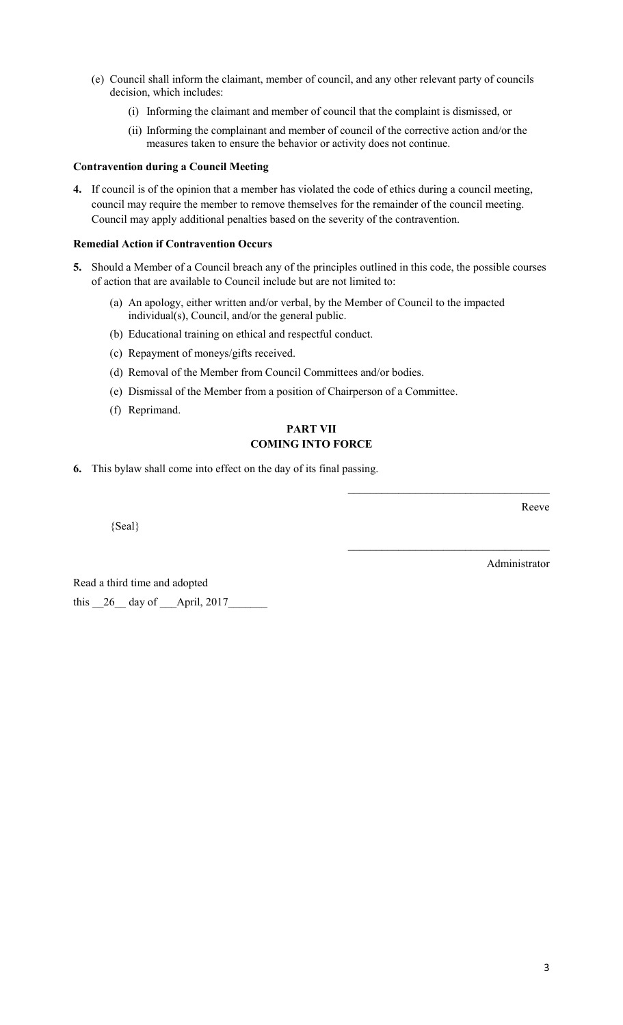- (e) Council shall inform the claimant, member of council, and any other relevant party of councils decision, which includes:
	- (i) Informing the claimant and member of council that the complaint is dismissed, or
	- (ii) Informing the complainant and member of council of the corrective action and/or the measures taken to ensure the behavior or activity does not continue.

### **Contravention during a Council Meeting**

**4.** If council is of the opinion that a member has violated the code of ethics during a council meeting, council may require the member to remove themselves for the remainder of the council meeting. Council may apply additional penalties based on the severity of the contravention.

### **Remedial Action if Contravention Occurs**

- **5.** Should a Member of a Council breach any of the principles outlined in this code, the possible courses of action that are available to Council include but are not limited to:
	- (a) An apology, either written and/or verbal, by the Member of Council to the impacted individual(s), Council, and/or the general public.
	- (b) Educational training on ethical and respectful conduct.
	- (c) Repayment of moneys/gifts received.
	- (d) Removal of the Member from Council Committees and/or bodies.
	- (e) Dismissal of the Member from a position of Chairperson of a Committee.
	- (f) Reprimand.

# **PART VII COMING INTO FORCE**

**6.** This bylaw shall come into effect on the day of its final passing.

{Seal}

Reeve

Administrator

\_\_\_\_\_\_\_\_\_\_\_\_\_\_\_\_\_\_\_\_\_\_\_\_\_\_\_\_\_\_\_\_\_\_\_\_

 $\mathcal{L}_\text{max}$  , where  $\mathcal{L}_\text{max}$  and  $\mathcal{L}_\text{max}$  and  $\mathcal{L}_\text{max}$ 

Read a third time and adopted this  $\_\$ {26} day of April, 2017